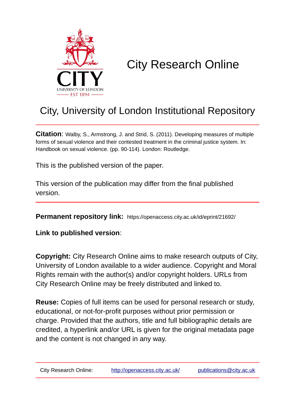

# City Research Online

# City, University of London Institutional Repository

**Citation**: Walby, S., Armstrong, J. and Strid, S. (2011). Developing measures of multiple forms of sexual violence and their contested treatment in the criminal justice system. In: Handbook on sexual violence. (pp. 90-114). London: Routledge.

This is the published version of the paper.

This version of the publication may differ from the final published version.

**Permanent repository link:** https://openaccess.city.ac.uk/id/eprint/21692/

**Link to published version**:

**Copyright:** City Research Online aims to make research outputs of City, University of London available to a wider audience. Copyright and Moral Rights remain with the author(s) and/or copyright holders. URLs from City Research Online may be freely distributed and linked to.

**Reuse:** Copies of full items can be used for personal research or study, educational, or not-for-profit purposes without prior permission or charge. Provided that the authors, title and full bibliographic details are credited, a hyperlink and/or URL is given for the original metadata page and the content is not changed in any way.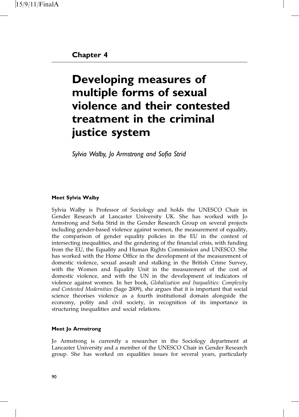# Developing measures of multiple forms of sexual violence and their contested treatment in the criminal justice system

Sylvia Walby, Jo Armstrong and Sofia Strid

## Meet Sylvia Walby

Sylvia Walby is Professor of Sociology and holds the UNESCO Chair in Gender Research at Lancaster University UK. She has worked with Jo Armstrong and Sofia Strid in the Gender Research Group on several projects including gender-based violence against women, the measurement of equality, the comparison of gender equality policies in the EU in the context of intersecting inequalities, and the gendering of the financial crisis, with funding from the EU, the Equality and Human Rights Commission and UNESCO. She has worked with the Home Office in the development of the measurement of domestic violence, sexual assault and stalking in the British Crime Survey, with the Women and Equality Unit in the measurement of the cost of domestic violence, and with the UN in the development of indicators of violence against women. In her book, Globalization and Inequalities: Complexity and Contested Modernities (Sage 2009), she argues that it is important that social science theorises violence as a fourth institutional domain alongside the economy, polity and civil society, in recognition of its importance in structuring inequalities and social relations.

## Meet Jo Armstrong

Jo Armstrong is currently a researcher in the Sociology department at Lancaster University and a member of the UNESCO Chair in Gender Research group. She has worked on equalities issues for several years, particularly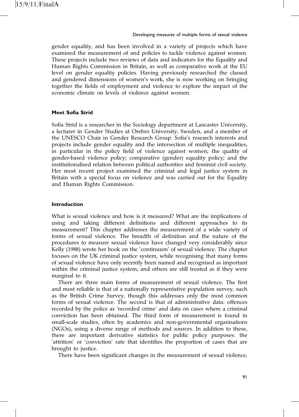gender equality, and has been involved in a variety of projects which have examined the measurement of and policies to tackle violence against women. These projects include two reviews of data and indicators for the Equality and Human Rights Commission in Britain, as well as comparative work at the EU level on gender equality policies. Having previously researched the classed and gendered dimensions of women's work, she is now working on bringing together the fields of employment and violence to explore the impact of the economic climate on levels of violence against women.

#### Meet Sofia Strid

Sofia Strid is a researcher in the Sociology department at Lancaster University, a lecturer in Gender Studies at Orebro University, Sweden, and a member of the UNESCO Chair in Gender Research Group. Sofia's research interests and projects include gender equality and the intersection of multiple inequalities, in particular in the policy field of violence against women; the quality of gender-based violence policy; comparative (gender) equality policy; and the institutionalised relation between political authorities and feminist civil society. Her most recent project examined the criminal and legal justice system in Britain with a special focus on violence and was carried out for the Equality and Human Rights Commission.

#### Introduction

What is sexual violence and how is it measured? What are the implications of using and taking different definitions and different approaches to its measurement? This chapter addresses the measurement of a wide variety of forms of sexual violence. The breadth of definition and the nature of the procedures to measure sexual violence have changed very considerably since Kelly (1988) wrote her book on the 'continuum' of sexual violence. The chapter focuses on the UK criminal justice system, while recognising that many forms of sexual violence have only recently been named and recognised as important within the criminal justice system, and others are still treated as if they were marginal to it.

There are three main forms of measurement of sexual violence. The first and most reliable is that of a nationally representative population survey, such as the British Crime Survey, though this addresses only the most common forms of sexual violence. The second is that of administrative data: offences recorded by the police as 'recorded crime' and data on cases where a criminal conviction has been obtained. The third form of measurement is found in small-scale studies, often by academics and non-governmental organisations (NGOs), using a diverse range of methods and sources. In addition to these, there are important derivative statistics for public policy purposes: the 'attrition' or 'conviction' rate that identifies the proportion of cases that are brought to justice.

There have been significant changes in the measurement of sexual violence,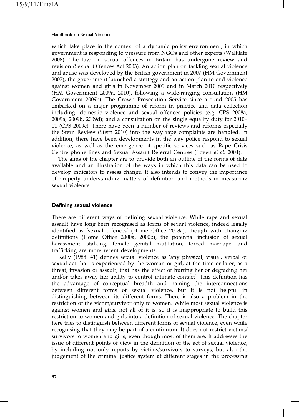which take place in the context of a dynamic policy environment, in which government is responding to pressure from NGOs and other experts (Walklate 2008). The law on sexual offences in Britain has undergone review and revision (Sexual Offences Act 2003). An action plan on tackling sexual violence and abuse was developed by the British government in 2007 (HM Government 2007), the government launched a strategy and an action plan to end violence against women and girls in November 2009 and in March 2010 respectively (HM Government 2009a, 2010), following a wide-ranging consultation (HM Government 2009b). The Crown Prosecution Service since around 2005 has embarked on a major programme of reform in practice and data collection including: domestic violence and sexual offences policies (e.g. CPS 2008a, 2009a, 2009b, 2009d); and a consultation on the single equality duty for 2010– 11 (CPS 2009c). There have been a number of reviews and reforms especially the Stern Review (Stern 2010) into the way rape complaints are handled. In addition, there have been developments in the way police respond to sexual violence, as well as the emergence of specific services such as Rape Crisis Centre phone lines and Sexual Assault Referral Centres (Lovett et al. 2004).

The aims of the chapter are to provide both an outline of the forms of data available and an illustration of the ways in which this data can be used to develop indicators to assess change. It also intends to convey the importance of properly understanding matters of definition and methods in measuring sexual violence.

#### Defining sexual violence

There are different ways of defining sexual violence. While rape and sexual assault have long been recognised as forms of sexual violence, indeed legally identified as 'sexual offences' (Home Office 2008a), though with changing definitions (Home Office 2000a, 2000b), the potential inclusion of sexual harassment, stalking, female genital mutilation, forced marriage, and trafficking are more recent developments.

Kelly (1988: 41) defines sexual violence as 'any physical, visual, verbal or sexual act that is experienced by the woman or girl, at the time or later, as a threat, invasion or assault, that has the effect of hurting her or degrading her and/or takes away her ability to control intimate contact'. This definition has the advantage of conceptual breadth and naming the interconnections between different forms of sexual violence, but it is not helpful in distinguishing between its different forms. There is also a problem in the restriction of the victim/survivor only to women. While most sexual violence is against women and girls, not all of it is, so it is inappropriate to build this restriction to women and girls into a definition of sexual violence. The chapter here tries to distinguish between different forms of sexual violence, even while recognising that they may be part of a continuum. It does not restrict victims/ survivors to women and girls, even though most of them are. It addresses the issue of different points of view in the definition of the act of sexual violence, by including not only reports by victims/survivors to surveys, but also the judgement of the criminal justice system at different stages in the processing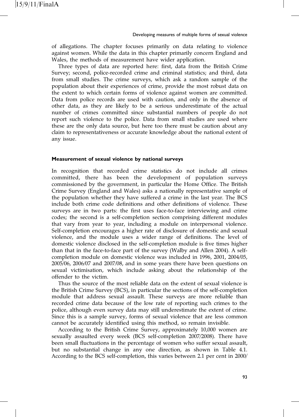of allegations. The chapter focuses primarily on data relating to violence against women. While the data in this chapter primarily concern England and Wales, the methods of measurement have wider application.

Three types of data are reported here: first, data from the British Crime Survey; second, police-recorded crime and criminal statistics; and third, data from small studies. The crime surveys, which ask a random sample of the population about their experiences of crime, provide the most robust data on the extent to which certain forms of violence against women are committed. Data from police records are used with caution, and only in the absence of other data, as they are likely to be a serious underestimate of the actual number of crimes committed since substantial numbers of people do not report such violence to the police. Data from small studies are used where these are the only data source, but here too there must be caution about any claim to representativeness or accurate knowledge about the national extent of any issue.

#### Measurement of sexual violence by national surveys

In recognition that recorded crime statistics do not include all crimes committed, there has been the development of population surveys commissioned by the government, in particular the Home Office. The British Crime Survey (England and Wales) asks a nationally representative sample of the population whether they have suffered a crime in the last year. The BCS include both crime code definitions and other definitions of violence. These surveys are in two parts: the first uses face-to-face interviewing and crime codes; the second is a self-completion section comprising different modules that vary from year to year, including a module on interpersonal violence. Self-completion encourages a higher rate of disclosure of domestic and sexual violence, and the module uses a wider range of definitions. The level of domestic violence disclosed in the self-completion module is five times higher than that in the face-to-face part of the survey (Walby and Allen 2004). A selfcompletion module on domestic violence was included in 1996, 2001, 2004/05, 2005/06, 2006/07 and 2007/08, and in some years there have been questions on sexual victimisation, which include asking about the relationship of the offender to the victim.

Thus the source of the most reliable data on the extent of sexual violence is the British Crime Survey (BCS), in particular the sections of the self-completion module that address sexual assault. These surveys are more reliable than recorded crime data because of the low rate of reporting such crimes to the police, although even survey data may still underestimate the extent of crime. Since this is a sample survey, forms of sexual violence that are less common cannot be accurately identified using this method, so remain invisible.

According to the British Crime Survey, approximately 10,000 women are sexually assaulted every week (BCS self-completion 2007/2008). There have been small fluctuations in the percentage of women who suffer sexual assault, but no substantial change in any one direction, as shown in Table 4.1. According to the BCS self-completion, this varies between 2.1 per cent in 2000/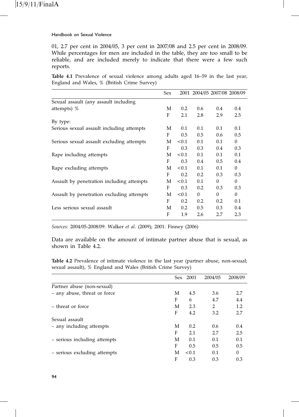01, 2.7 per cent in 2004/05, 3 per cent in 2007/08 and 2.5 per cent in 2008/09. While percentages for men are included in the table, they are too small to be reliable, and are included merely to indicate that there were a few such reports.

Table 4.1 Prevalence of sexual violence among adults aged 16–59 in the last year, England and Wales, % (British Crime Survey)

|                                           | <b>Sex</b> |       |          | 2001 2004/05 2007/08 2008/09 |                  |
|-------------------------------------------|------------|-------|----------|------------------------------|------------------|
| Sexual assault (any assault including     |            |       |          |                              |                  |
| attempts) $%$                             | M          | 0.2   | 0.6      | 0.4                          | 0.4              |
|                                           | F          | 2.1   | 2.8      | 2.9                          | 2.5              |
| By type:                                  |            |       |          |                              |                  |
| Serious sexual assault including attempts | M          | 0.1   | 0.1      | 0.1                          | 0.1              |
|                                           | F          | 0.5   | 0.5      | 0.6                          | 0.5              |
| Serious sexual assault excluding attempts | М          | < 0.1 | 0.1      | 0.1                          | $\boldsymbol{0}$ |
|                                           | F          | 0.3   | 0.3      | 0.4                          | 0.3              |
| Rape including attempts                   | M          | < 0.1 | 0.1      | 0.1                          | 0.1              |
|                                           | F          | 0.3   | 0.4      | 0.5                          | 0.4              |
| Rape excluding attempts                   | M          | < 0.1 | 0.1      | 0.1                          | 0                |
|                                           | F          | 0.2   | 0.2      | 0.3                          | 0.3              |
| Assault by penetration including attempts | М          | < 0.1 | 0.1      | $\Omega$                     | $\theta$         |
|                                           | F          | 0.3   | 0.2      | 0.3                          | 0.3              |
| Assault by penetration excluding attempts | М          | < 0.1 | $\Omega$ | $\theta$                     | $\theta$         |
|                                           | F          | 0.2   | 0.2      | 0.2                          | 0.1              |
| Less serious sexual assault               | М          | 0.2   | 0.5      | 0.3                          | 0.4              |
|                                           | F          | 1.9   | 2.6      | 2.7                          | 2.3              |
|                                           |            |       |          |                              |                  |

Sources: 2004/05-2008/09: Walker et al. (2009); 2001: Finney (2006)

Data are available on the amount of intimate partner abuse that is sexual, as shown in Table 4.2.

Table 4.2 Prevalence of intimate violence in the last year (partner abuse, non-sexual; sexual assault), % England and Wales (British Crime Survey)

|                              |   | Sex 2001 | 2004/05 | 2008/09  |
|------------------------------|---|----------|---------|----------|
| Partner abuse (non-sexual)   |   |          |         |          |
| - any abuse, threat or force | M | 4.5      | 3.6     | 2.7      |
|                              | F | 6        | 4.7     | 4.4      |
| - threat or force            | M | 2.3      | 2       | 1.2      |
|                              | F | 4.2      | 3.2     | 2.7      |
| Sexual assault               |   |          |         |          |
| - any including attempts     | M | 0.2      | 0.6     | 0.4      |
|                              | F | 2.1      | 2.7     | 2.5      |
| - serious including attempts | M | 0.1      | 0.1     | 0.1      |
|                              | F | 0.5      | 0.5     | 0.5      |
| - serious excluding attempts | M | < 0.1    | 0.1     | $\theta$ |
|                              | F | 0.3      | 0.3     | 0.3      |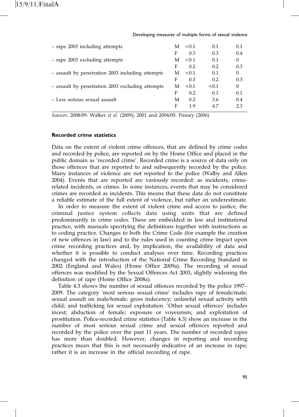#### Developing measures of multiple forms of sexual violence

| - rape 2003 including attempts                   | M | < 0.1 | 0.1   | 0.1          |
|--------------------------------------------------|---|-------|-------|--------------|
|                                                  | F | 0.3   | 0.3   | 0.4          |
| - rape 2003 excluding attempts                   | M | < 0.1 | 0.1   | 0            |
|                                                  | F | 0.2   | 0.2   | 0.3          |
| - assault by penetration 2003 including attempts | M | < 0.1 | 0.1   | $\theta$     |
|                                                  | F | 0.3   | 0.2   | 0.3          |
| - assault by penetration 2003 excluding attempts | М | < 0.1 | < 0.1 | $\mathbf{0}$ |
|                                                  | F | 0.2   | 0.1   | 0.1          |
| - Less serious sexual assault                    | M | 0.2   | 3.6   | 0.4          |
|                                                  | F | 1.9   | 4.7   | 2.3          |

Sources: 2008/09: Walker et al. (2009); 2001 and 2004/05: Finney (2006)

#### Recorded crime statistics

Data on the extent of violent crime offences, that are defined by crime codes and recorded by police, are reported on by the Home Office and placed in the public domain as 'recorded crime'. Recorded crime is a source of data only on those offences that are reported to and subsequently recorded by the police. Many instances of violence are not reported to the police (Walby and Allen 2004). Events that are reported are variously recorded: as incidents, crimerelated incidents, or crimes. In some instances, events that may be considered crimes are recorded as incidents. This means that these data do not constitute a reliable estimate of the full extent of violence, but rather an underestimate.

In order to measure the extent of violent crime and access to justice, the criminal justice system collects data using units that are defined predominantly in crime codes. These are embedded in law and institutional practice, with manuals specifying the definitions together with instructions as to coding practice. Changes to both the Crime Code (for example the creation of new offences in law) and to the rules used in counting crime impact upon crime recording practices and, by implication, the availability of data and whether it is possible to conduct analyses over time. Recording practices changed with the introduction of the National Crime Recording Standard in 2002 (England and Wales) (Home Office 2009a). The recording of sexual offences was modified by the Sexual Offences Act 2003, slightly widening the definition of rape (Home Office 2008a).

Table 4.3 shows the number of sexual offences recorded by the police 1997– 2009. The category 'most serious sexual crime' includes rape of female/male; sexual assault on male/female; gross indecency; unlawful sexual activity with child; and trafficking for sexual exploitation. 'Other sexual offences' includes incest; abduction of female; exposure or voyeurism; and exploitation of prostitution. Police-recorded crime statistics (Table 4.3) show an increase in the number of most serious sexual crime and sexual offences reported and recorded by the police over the past 11 years. The number of recorded rapes has more than doubled. However, changes in reporting and recording practices mean that this is not necessarily indicative of an increase in rape; rather it is an increase in the official recording of rape.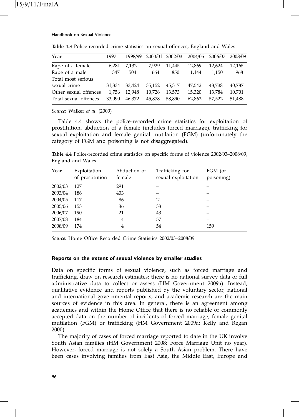| Year                  | 1997   | 1998/99 | 2000/01 | 2002/03 | 2004/05 | 2006/07 | 2008/09 |
|-----------------------|--------|---------|---------|---------|---------|---------|---------|
| Rape of a female      | 6.281  | 7.132   | 7.929   | 11.445  | 12,869  | 12.624  | 12,165  |
| Rape of a male        | 347    | 504     | 664     | 850     | 1.144   | 1.150   | 968     |
| Total most serious    |        |         |         |         |         |         |         |
| sexual crime          | 31.334 | 33.424  | 35.152  | 45.317  | 47.542  | 43.738  | 40,787  |
| Other sexual offences | 1.756  | 12.948  | 10.726  | 13.573  | 15.320  | 13.784  | 10,701  |
| Total sexual offences | 33.090 | 46.372  | 45.878  | 58.890  | 62,862  | 57.522  | 51,488  |

Table 4.3 Police-recorded crime statistics on sexual offences, England and Wales

Source: Walker et al. (2009)

Table 4.4 shows the police-recorded crime statistics for exploitation of prostitution, abduction of a female (includes forced marriage), trafficking for sexual exploitation and female genital mutilation (FGM) (unfortunately the category of FGM and poisoning is not disaggregated).

Table 4.4 Police-recorded crime statistics on specific forms of violence 2002/03–2008/09, England and Wales

| Year    | Exploitation<br>of prostitution | Abduction of<br>female | Trafficking for<br>sexual exploitation | FGM (or<br>poisoning) |
|---------|---------------------------------|------------------------|----------------------------------------|-----------------------|
| 2002/03 | 127                             | 291                    |                                        |                       |
| 2003/04 | 186                             | 403                    |                                        |                       |
| 2004/05 | 117                             | 86                     | 21                                     |                       |
| 2005/06 | 153                             | 36                     | 33                                     |                       |
| 2006/07 | 190                             | 21                     | 43                                     |                       |
| 2007/08 | 184                             | 4                      | 57                                     |                       |
| 2008/09 | 174                             | 4                      | 54                                     | 159                   |

Source: Home Office Recorded Crime Statistics 2002/03–2008/09

#### Reports on the extent of sexual violence by smaller studies

Data on specific forms of sexual violence, such as forced marriage and trafficking, draw on research estimates; there is no national survey data or full administrative data to collect or assess (HM Government 2009a). Instead, qualitative evidence and reports published by the voluntary sector, national and international governmental reports, and academic research are the main sources of evidence in this area. In general, there is an agreement among academics and within the Home Office that there is no reliable or commonly accepted data on the number of incidents of forced marriage, female genital mutilation (FGM) or trafficking (HM Government 2009a; Kelly and Regan 2000).

The majority of cases of forced marriage reported to date in the UK involve South Asian families (HM Government 2008; Force Marriage Unit no year). However, forced marriage is not solely a South Asian problem. There have been cases involving families from East Asia, the Middle East, Europe and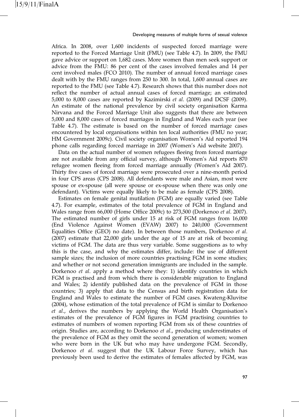Africa. In 2008, over 1,600 incidents of suspected forced marriage were reported to the Forced Marriage Unit (FMU) (see Table 4.7). In 2009, the FMU gave advice or support on 1,682 cases. More women than men seek support or advice from the FMU: 86 per cent of the cases involved females and 14 per cent involved males (FCO 2010). The number of annual forced marriage cases dealt with by the FMU ranges from 250 to 300. In total, 1,600 annual cases are reported to the FMU (see Table 4.7). Research shows that this number does not reflect the number of actual annual cases of forced marriage; an estimated 5,000 to 8,000 cases are reported by Kazimirski et al. (2009) and DCSF (2009). An estimate of the national prevalence by civil society organisation Karma Nirvana and the Forced Marriage Unit also suggests that there are between 5,000 and 8,000 cases of forced marriages in England and Wales each year (see Table 4.7). The estimate is based on the number of forced marriage cases encountered by local organisations within ten local authorities (FMU no year; HM Government 2009c). Civil society organisation Women's Aid reported 194 phone calls regarding forced marriage in 2007 (Women's Aid website 2007).

Data on the actual number of women refugees fleeing from forced marriage are not available from any official survey, although Women's Aid reports 870 refugee women fleeing from forced marriage annually (Women's Aid 2007). Thirty five cases of forced marriage were prosecuted over a nine-month period in four CPS areas (CPS 2008). All defendants were male and Asian, most were spouse or ex-spouse (all were spouse or ex-spouse when there was only one defendant). Victims were equally likely to be male as female (CPS 2008).

Estimates on female genital mutilation (FGM) are equally varied (see Table 4.7). For example, estimates of the total prevalence of FGM in England and Wales range from 66,000 (Home Office 2009c) to 273,500 (Dorkenoo et al. 2007). The estimated number of girls under 15 at risk of FGM ranges from 16,000 (End Violence Against Women (EVAW) 2007) to 240,000 (Government Equalities Office (GEO) no date). In between those numbers, Dorkenoo et al. (2007) estimate that 22,000 girls under the age of 15 are at risk of becoming victims of FGM. The data are thus very variable. Some suggestions as to why this is the case, and why the estimates differ, include: the use of different sample sizes; the inclusion of more countries practising FGM in some studies; and whether or not second generation immigrants are included in the sample. Dorkenoo et al. apply a method where they: 1) identify countries in which FGM is practised and from which there is considerable migration to England and Wales; 2) identify published data on the prevalence of FGM in those countries; 3) apply that data to the Census and birth registration data for England and Wales to estimate the number of FGM cases. Kwateng-Kluvitse (2004), whose estimation of the total prevalence of FGM is similar to Dorkenoo et al., derives the numbers by applying the World Health Organisation's estimates of the prevalence of FGM figures in FGM practising countries to estimates of numbers of women reporting FGM from six of these countries of origin. Studies are, according to Dorkenoo et al., producing underestimates of the prevalence of FGM as they omit the second generation of women; women who were born in the UK but who may have undergone FGM. Secondly, Dorkenoo et al. suggest that the UK Labour Force Survey, which has previously been used to derive the estimates of females affected by FGM, was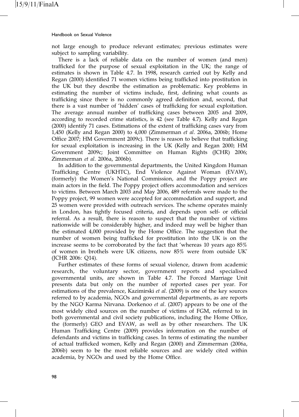not large enough to produce relevant estimates; previous estimates were subject to sampling variability.

There is a lack of reliable data on the number of women (and men) trafficked for the purpose of sexual exploitation in the UK; the range of estimates is shown in Table 4.7. In 1998, research carried out by Kelly and Regan (2000) identified 71 women victims being trafficked into prostitution in the UK but they describe the estimation as problematic. Key problems in estimating the number of victims include, first, defining what counts as trafficking since there is no commonly agreed definition and, second, that there is a vast number of 'hidden' cases of trafficking for sexual exploitation. The average annual number of trafficking cases between 2005 and 2009, according to recorded crime statistics, is 42 (see Table 4.7). Kelly and Regan (2000) identify 71 cases. Estimations of the extent of trafficking cases vary from 1,450 (Kelly and Regan 2000) to 4,000 (Zimmerman et al. 2006a, 2006b; Home Office 2007; HM Government 2009c). There is reason to believe that trafficking for sexual exploitation is increasing in the UK (Kelly and Regan 2000; HM Government 2009c; Joint Committee on Human Rights (JCHR) 2006; Zimmerman et al. 2006a, 2006b).

In addition to the governmental departments, the United Kingdom Human Trafficking Centre (UKHTC), End Violence Against Woman (EVAW), (formerly) the Women's National Commission, and the Poppy project are main actors in the field. The Poppy project offers accommodation and services to victims. Between March 2003 and May 2006, 489 referrals were made to the Poppy project, 99 women were accepted for accommodation and support, and 25 women were provided with outreach services. The scheme operates mainly in London, has tightly focused criteria, and depends upon self- or official referral. As a result, there is reason to suspect that the number of victims nationwide will be considerably higher, and indeed may well be higher than the estimated 4,000 provided by the Home Office. The suggestion that the number of women being trafficked for prostitution into the UK is on the increase seems to be corroborated by the fact that 'whereas 10 years ago 85% of women in brothels were UK citizens, now 85% were from outside UK' (JCHR 2006: Q14).

Further estimates of these forms of sexual violence, drawn from academic research, the voluntary sector, government reports and specialised governmental units, are shown in Table 4.7. The Forced Marriage Unit presents data but only on the number of reported cases per year. For estimations of the prevalence, Kazimirski et al. (2009) is one of the key sources referred to by academia, NGOs and governmental departments, as are reports by the NGO Karma Nirvana. Dorkenoo et al. (2007) appears to be one of the most widely cited sources on the number of victims of FGM, referred to in both governmental and civil society publications, including the Home Office, the (formerly) GEO and EVAW, as well as by other researchers. The UK Human Trafficking Centre (2009) provides information on the number of defendants and victims in trafficking cases. In terms of estimating the number of actual trafficked women, Kelly and Regan (2000) and Zimmerman (2006a, 2006b) seem to be the most reliable sources and are widely cited within academia, by NGOs and used by the Home Office.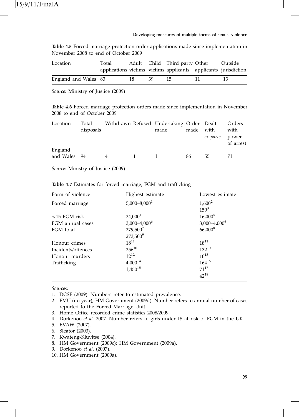| <b>Table 4.5</b> Forced marriage protection order applications made since implementation in |  |  |
|---------------------------------------------------------------------------------------------|--|--|
| November 2008 to end of October 2009                                                        |  |  |

| Location             | Total                                                           |     |     | Adult Child Third party Other | Outside |
|----------------------|-----------------------------------------------------------------|-----|-----|-------------------------------|---------|
|                      | applications victims victims applicants applicants jurisdiction |     |     |                               |         |
| England and Wales 83 |                                                                 | 18. | 39. | 15                            |         |

Source: Ministry of Justice (2009)

Table 4.6 Forced marriage protection orders made since implementation in November 2008 to end of October 2009

| Location     | Total     |  | Withdrawn Refused Undertaking Order Dealt |      |          | Orders             |
|--------------|-----------|--|-------------------------------------------|------|----------|--------------------|
|              | disposals |  | made                                      | made | with     | with               |
|              |           |  |                                           |      | ex-parte | power<br>of arrest |
| England      |           |  |                                           |      |          |                    |
| and Wales 94 |           |  |                                           | 86   | 55       | 71                 |

Source: Ministry of Justice (2009)

| Form of violence   | Highest estimate             | Lowest estimate              |
|--------------------|------------------------------|------------------------------|
| Forced marriage    | $5,000 - 8,000$ <sup>1</sup> | $1,600^2$                    |
|                    |                              | $159^{3}$                    |
| $<$ 15 FGM risk    | 24,000 <sup>4</sup>          | $16,000^5$                   |
| FGM annual cases   | $3,000 - 4,000$ <sup>6</sup> | $3,000 - 4,000$ <sup>6</sup> |
| FGM total          | $279,500^7$                  | $66,000^8$                   |
|                    | $273,500^9$                  |                              |
| Honour crimes      | $18^{11}$                    | $18^{11}$                    |
| Incidents/offences | $256^{10}$                   | $132^{10}$                   |
| Honour murders     | $12^{12}$                    | $10^{13}$                    |
| Trafficking        | $4,000^{14}$                 | $164^{16}$                   |
|                    | $1,450^{15}$                 | $71^{17}$                    |
|                    |                              | $42^{18}$                    |

Table 4.7 Estimates for forced marriage, FGM and trafficking

Sources:

1. DCSF (2009). Numbers refer to estimated prevalence.

- 2. FMU (no year); HM Government (2009d). Number refers to annual number of cases reported to the Forced Marriage Unit.
- 3. Home Office recorded crime statistics 2008/2009.
- 4. Dorkenoo et al. 2007. Number refers to girls under 15 at risk of FGM in the UK.
- 5. EVAW (2007).
- 6. Sleator (2003).
- 7. Kwateng-Kluvitse (2004).
- 8. HM Government (2009c); HM Government (2009a).
- 9. Dorkenoo et al. (2007).
- 10. HM Government (2009a).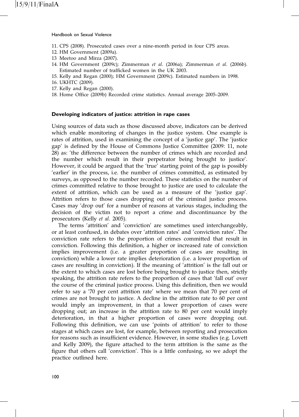- 11. CPS (2008). Prosecuted cases over a nine-month period in four CPS areas.
- 12. HM Government (2009a).
- 13 Meetoo and Mirza (2007).
- 14. HM Government (2009c); Zimmerman et al. (2006a); Zimmerman et al. (2006b). Estimated number of trafficked women in the UK 2003.
- 15. Kelly and Regan (2000); HM Government (2009c). Estimated numbers in 1998.
- 16. UKHTC (2009).
- 17. Kelly and Regan (2000).
- 18. Home Office (2009b) Recorded crime statistics. Annual average 2005–2009.

#### Developing indicators of justice: attrition in rape cases

Using sources of data such as those discussed above, indicators can be derived which enable monitoring of changes in the justice system. One example is rates of attrition, used in examining the concept of a 'justice gap'. The 'justice gap' is defined by the House of Commons Justice Committee (2009: 11, note 28) as: 'the difference between the number of crimes which are recorded and the number which result in their perpetrator being brought to justice'. However, it could be argued that the 'true' starting point of the gap is possibly 'earlier' in the process, i.e. the number of crimes committed, as estimated by surveys, as opposed to the number recorded. These statistics on the number of crimes committed relative to those brought to justice are used to calculate the extent of attrition, which can be used as a measure of the 'justice gap'. Attrition refers to those cases dropping out of the criminal justice process. Cases may 'drop out' for a number of reasons at various stages, including the decision of the victim not to report a crime and discontinuance by the prosecutors (Kelly et al. 2005).

The terms 'attrition' and 'conviction' are sometimes used interchangeably, or at least confused, in debates over 'attrition rates' and 'conviction rates'. The conviction rate refers to the proportion of crimes committed that result in conviction. Following this definition, a higher or increased rate of conviction implies improvement (i.e. a greater proportion of cases are resulting in conviction) while a lower rate implies deterioration (i.e. a lower proportion of cases are resulting in conviction). If the meaning of 'attrition' is the fall out or the extent to which cases are lost before being brought to justice then, strictly speaking, the attrition rate refers to the proportion of cases that 'fall out' over the course of the criminal justice process. Using this definition, then we would refer to say a '70 per cent attrition rate' where we mean that 70 per cent of crimes are not brought to justice. A decline in the attrition rate to 60 per cent would imply an improvement, in that a lower proportion of cases were dropping out; an increase in the attrition rate to 80 per cent would imply deterioration, in that a higher proportion of cases were dropping out. Following this definition, we can use 'points of attrition' to refer to those stages at which cases are lost, for example, between reporting and prosecution for reasons such as insufficient evidence. However, in some studies (e.g. Lovett and Kelly 2009), the figure attached to the term attrition is the same as the figure that others call 'conviction'. This is a little confusing, so we adopt the practice outlined here.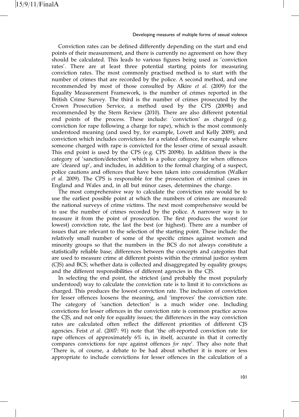Conviction rates can be defined differently depending on the start and end points of their measurement, and there is currently no agreement on how they should be calculated. This leads to various figures being used as 'conviction rates'. There are at least three potential starting points for measuring conviction rates. The most commonly practised method is to start with the number of crimes that are recorded by the police. A second method, and one recommended by most of those consulted by Alkire et al. (2009) for the Equality Measurement Framework, is the number of crimes reported in the British Crime Survey. The third is the number of crimes prosecuted by the Crown Prosecution Service, a method used by the CPS (2009b) and recommended by the Stern Review (2010). There are also different potential end points of the process. These include: 'conviction' as charged (e.g. conviction for rape following a charge for rape), which is the most commonly understood meaning (and used by, for example, Lovett and Kelly 2009); and conviction which includes convictions for a related offence, for example where someone charged with rape is convicted for the lesser crime of sexual assault. This end point is used by the CPS (e.g. CPS 2009b). In addition there is the category of 'sanction/detection' which is a police category for when offences are 'cleared up', and includes, in addition to the formal charging of a suspect, police cautions and offences that have been taken into consideration (Walker et al. 2009). The CPS is responsible for the prosecution of criminal cases in England and Wales and, in all but minor cases, determines the charge.

The most comprehensive way to calculate the conviction rate would be to use the earliest possible point at which the numbers of crimes are measured: the national surveys of crime victims. The next most comprehensive would be to use the number of crimes recorded by the police. A narrower way is to measure it from the point of prosecution. The first produces the worst (or lowest) conviction rate, the last the best (or highest). There are a number of issues that are relevant to the selection of the starting point. These include: the relatively small number of some of the specific crimes against women and minority groups so that the numbers in the BCS do not always constitute a statistically reliable base; differences between the concepts and categories that are used to measure crime at different points within the criminal justice system (CJS) and BCS; whether data is collected and disaggregated by equality groups; and the different responsibilities of different agencies in the CJS.

In selecting the end point, the strictest (and probably the most popularly understood) way to calculate the conviction rate is to limit it to convictions as charged. This produces the lowest conviction rate. The inclusion of conviction for lesser offences loosens the meaning, and 'improves' the conviction rate. The category of 'sanction detection' is a much wider one. Including convictions for lesser offences in the conviction rate is common practice across the CJS, and not only for equality issues; the differences in the way conviction rates are calculated often reflect the different priorities of different CJS agencies. Feist et al. (2007: 91) note that 'the oft-reported conviction rate for rape offences of approximately 6% is, in itself, accurate in that it correctly compares convictions for rape against offences for rape'. They also note that 'There is, of course, a debate to be had about whether it is more or less appropriate to include convictions for lesser offences in the calculation of a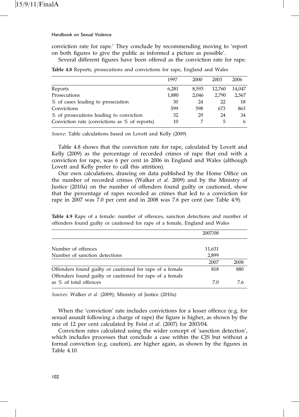conviction rate for rape.' They conclude by recommending moving to 'report on both figures to give the public as informed a picture as possible'.

Several different figures have been offered as the conviction rate for rape.

|                                                 | 1997  | 2000  | 2003   | 2006   |
|-------------------------------------------------|-------|-------|--------|--------|
| Reports                                         | 6,281 | 8.593 | 12.760 | 14.047 |
| Prosecutions                                    | 1,880 | 2.046 | 2.790  | 2,567  |
| % of cases leading to prosecution               | 30    | 24    | 22     | 18     |
| Convictions                                     | 599   | 598   | 673    | 863    |
| % of prosecutions leading to conviction         | 32    | 29    | 24     | 34     |
| Conviction rate (convictions as $%$ of reports) | 10    |       | 5      | 6      |

Table 4.8 Reports, prosecutions and convictions for rape, England and Wales

Source: Table calculations based on Lovett and Kelly (2009)

Table 4.8 shows that the conviction rate for rape, calculated by Lovett and Kelly (2009) as the percentage of recorded crimes of rape that end with a conviction for rape, was 6 per cent in 2006 in England and Wales (although Lovett and Kelly prefer to call this attrition).

Our own calculations, drawing on data published by the Home Office on the number of recorded crimes (Walker et al. 2009) and by the Ministry of Justice (2010a) on the number of offenders found guilty or cautioned, show that the percentage of rapes recorded as crimes that led to a conviction for rape in 2007 was 7.0 per cent and in 2008 was 7.6 per cent (see Table 4.9).

Table 4.9 Rape of a female: number of offences, sanction detections and number of offenders found guilty or cautioned for rape of a female, England and Wales

|                                                                                                                      | 2007/08 |      |
|----------------------------------------------------------------------------------------------------------------------|---------|------|
| Number of offences                                                                                                   |         |      |
|                                                                                                                      | 11,631  |      |
| Number of sanction detections                                                                                        | 2,899   |      |
|                                                                                                                      | 2007    | 2008 |
| Offenders found guilty or cautioned for rape of a female<br>Offenders found guilty or cautioned for rape of a female | 818     | 880  |
| as % of total offences                                                                                               | 7.0     | 7.6  |

Sources: Walker et al. (2009); Ministry of Justice (2010a)

When the 'conviction' rate includes convictions for a lesser offence (e.g. for sexual assault following a charge of rape) the figure is higher, as shown by the rate of 12 per cent calculated by Feist et al. (2007) for 2003/04.

Conviction rates calculated using the wider concept of 'sanction detection', which includes processes that conclude a case within the CJS but without a formal conviction (e.g. caution), are higher again, as shown by the figures in Table 4.10.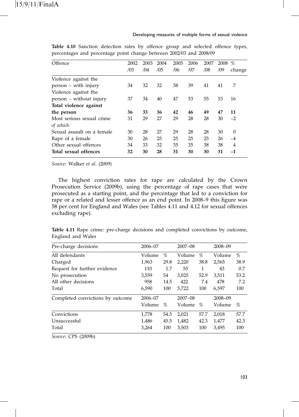| Offence                                | 2002<br>/03 | 2003<br>/04 | 2004<br>/05 | 2005<br>/06 | 2006<br>/07 | 2007<br>/08 | 2008<br>/09 | %<br>change    |
|----------------------------------------|-------------|-------------|-------------|-------------|-------------|-------------|-------------|----------------|
| Violence against the                   |             |             |             |             |             |             |             |                |
| person – with injury                   | 34          | 32          | 32          | 38          | 39          | 41          | 41          | 7              |
| Violence against the                   |             |             |             |             |             |             |             |                |
| person – without injury                | 37          | 34          | 40          | 47          | 53          | 55          | 53          | 16             |
| Total violence against                 |             |             |             |             |             |             |             |                |
| the person                             | 36          | 33          | 36          | 42          | 46          | 49          | 47          | 11             |
| Most serious sexual crime<br>of which: | 31          | 29          | 27          | 29          | 28          | 28          | 30          | $-2$           |
| Sexual assault on a female             | 30          | 28          | 27          | 29          | 28          | 28          | 30          | $\theta$       |
| Rape of a female                       | 30          | 26          | 25          | 25          | 25          | 25          | 26          | -4             |
| Other sexual offences                  | 34          | 33          | 32          | 35          | 35          | 38          | 38          | $\overline{4}$ |
| Total sexual offences                  | 32          | 30          | 28          | 31          | 30          | 30          | 31          | -1             |

Table 4.10 Sanction detection rates by offence group and selected offence types, percentages and percentage point change between 2002/03 and 2008/09

Source: Walker et al. (2009)

The highest conviction rates for rape are calculated by the Crown Prosecution Service (2009b), using the percentage of rape cases that were prosecuted as a starting point, and the percentage that led to a conviction for rape or a related and lesser offence as an end point. In 2008–9 this figure was 58 per cent for England and Wales (see Tables 4.11 and 4.12 for sexual offences excluding rape).

Table 4.11 Rape crime: pre-charge decisions and completed convictions by outcome, England and Wales

| Pre-charge decisions             | 2006-07 |      | $2007 - 08$ |      | 2008-09 |      |
|----------------------------------|---------|------|-------------|------|---------|------|
| All defendants                   | Volume  | %    | Volume      | %    | Volume  | $\%$ |
| Charged                          | 1,963   | 29.8 | 2,220       | 38.8 | 2,565   | 38.9 |
| Request for further evidence     | 110     | 1.7  | 55          | 1    | 43      | 0.7  |
| No prosecution                   | 3,559   | 54   | 3,025       | 52.9 | 3,511   | 53.2 |
| All other decisions              | 958     | 14.5 | 422         | 7.4  | 478     | 7.2  |
| Total                            | 6,590   | 100  | 5,722       | 100  | 6,597   | 100  |
| Completed convictions by outcome | 2006-07 |      | $2007 - 08$ |      | 2008-09 |      |
|                                  | Volume  | $\%$ | Volume      | %    | Volume  | $\%$ |
| Convictions                      | 1,778   | 54.5 | 2,021       | 57.7 | 2,018   | 57.7 |
| Unsuccessful                     | 1,486   | 45.5 | 1,482       | 42.3 | 1,477   | 42.3 |
| Total                            | 3,264   | 100  | 3,503       | 100  | 3,495   | 100  |

Source: CPS (2009b)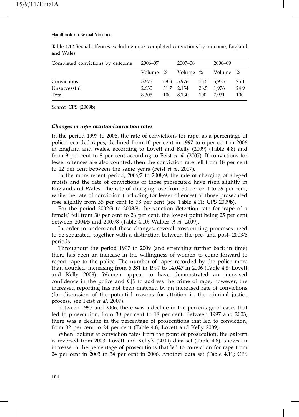| Completed convictions by outcome | 2006–07 |     | $2007 - 08$       |     | 2008-09    |      |
|----------------------------------|---------|-----|-------------------|-----|------------|------|
|                                  |         |     | Volume % Volume % |     | Volume %   |      |
| Convictions                      | 5.675   |     | 68.3 5.976        |     | 73.5 5,955 | 75.1 |
| Unsuccessful                     | 2,630   |     | 31.7 2.154        |     | 26.5 1.976 | 24.9 |
| Total                            | 8.305   | 100 | 8.130             | 100 | 7.931      | 100  |

Table 4.12 Sexual offences excluding rape: completed convictions by outcome, England and Wales

Source: CPS (2009b)

#### Changes in rape attrition/conviction rates

In the period 1997 to 2006, the rate of convictions for rape, as a percentage of police-recorded rapes, declined from 10 per cent in 1997 to 6 per cent in 2006 in England and Wales, according to Lovett and Kelly (2009) (Table 4.8) and from 9 per cent to 8 per cent according to Feist et al. (2007). If convictions for lesser offences are also counted, then the conviction rate fell from 18 per cent to 12 per cent between the same years (Feist et al. 2007).

In the more recent period, 2006/7 to 2008/9, the rate of charging of alleged rapists and the rate of convictions of those prosecuted have risen slightly in England and Wales. The rate of charging rose from 30 per cent to 39 per cent; while the rate of conviction (including for lesser offences) of those prosecuted rose slightly from 55 per cent to 58 per cent (see Table 4.11; CPS 2009b).

For the period 2002/3 to 2008/9, the sanction detection rate for 'rape of a female' fell from 30 per cent to 26 per cent, the lowest point being 25 per cent between 2004/5 and 2007/8 (Table 4.10; Walker et al. 2009).

In order to understand these changes, several cross-cutting processes need to be separated, together with a distinction between the pre- and post- 2003/6 periods.

Throughout the period 1997 to 2009 (and stretching further back in time) there has been an increase in the willingness of women to come forward to report rape to the police. The number of rapes recorded by the police more than doubled, increasing from 6,281 in 1997 to 14,047 in 2006 (Table 4.8; Lovett and Kelly 2009). Women appear to have demonstrated an increased confidence in the police and CJS to address the crime of rape; however, the increased reporting has not been matched by an increased rate of convictions (for discussion of the potential reasons for attrition in the criminal justice process, see Feist et al. 2007).

Between 1997 and 2006, there was a decline in the percentage of cases that led to prosecution, from 30 per cent to 18 per cent. Between 1997 and 2003, there was a decline in the percentage of prosecutions that led to conviction, from 32 per cent to 24 per cent (Table 4.8; Lovett and Kelly 2009).

When looking at conviction rates from the point of prosecution, the pattern is reversed from 2003. Lovett and Kelly's (2009) data set (Table 4.8), shows an increase in the percentage of prosecutions that led to conviction for rape from 24 per cent in 2003 to 34 per cent in 2006. Another data set (Table 4.11; CPS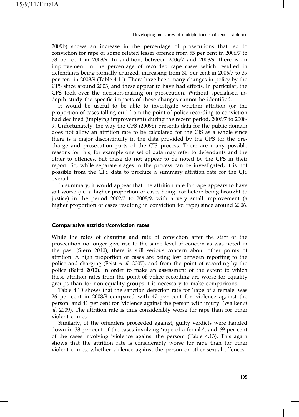2009b) shows an increase in the percentage of prosecutions that led to conviction for rape or some related lesser offence from 55 per cent in 2006/7 to 58 per cent in 2008/9. In addition, between 2006/7 and 2008/9, there is an improvement in the percentage of recorded rape cases which resulted in defendants being formally charged, increasing from 30 per cent in 2006/7 to 39 per cent in 2008/9 (Table 4.11). There have been many changes in policy by the CPS since around 2003, and these appear to have had effects. In particular, the CPS took over the decision-making on prosecution. Without specialised indepth study the specific impacts of these changes cannot be identified.

It would be useful to be able to investigate whether attrition (or the proportion of cases falling out) from the point of police recording to conviction had declined (implying improvement) during the recent period, 2006/7 to 2008/ 9. Unfortunately, the way the CPS (2009b) presents data for the public domain does not allow an attrition rate to be calculated for the CJS as a whole since there is a major discontinuity in the data provided by the CPS for the precharge and prosecution parts of the CJS process. There are many possible reasons for this, for example one set of data may refer to defendants and the other to offences, but these do not appear to be noted by the CPS in their report. So, while separate stages in the process can be investigated, it is not possible from the CPS data to produce a summary attrition rate for the CJS overall.

In summary, it would appear that the attrition rate for rape appears to have got worse (i.e. a higher proportion of cases being lost before being brought to justice) in the period 2002/3 to 2008/9, with a very small improvement (a higher proportion of cases resulting in conviction for rape) since around 2006.

#### Comparative attrition/conviction rates

While the rates of charging and rate of conviction after the start of the prosecution no longer give rise to the same level of concern as was noted in the past (Stern 2010), there is still serious concern about other points of attrition. A high proportion of cases are being lost between reporting to the police and charging (Feist et al. 2007), and from the point of recording by the police (Baird 2010). In order to make an assessment of the extent to which these attrition rates from the point of police recording are worse for equality groups than for non-equality groups it is necessary to make comparisons.

Table 4.10 shows that the sanction detection rate for 'rape of a female' was 26 per cent in 2008/9 compared with 47 per cent for 'violence against the person' and 41 per cent for 'violence against the person with injury' (Walker et al. 2009). The attrition rate is thus considerably worse for rape than for other violent crimes.

Similarly, of the offenders proceeded against, guilty verdicts were handed down in 38 per cent of the cases involving 'rape of a female', and 69 per cent of the cases involving 'violence against the person' (Table 4.13). This again shows that the attrition rate is considerably worse for rape than for other violent crimes, whether violence against the person or other sexual offences.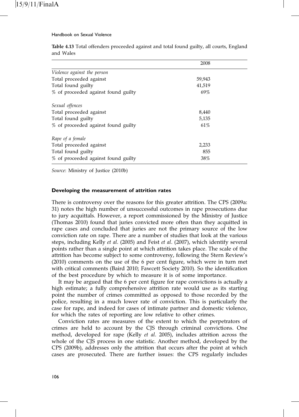|                                     | 2008   |  |
|-------------------------------------|--------|--|
| Violence against the person         |        |  |
| Total proceeded against             | 59,943 |  |
| Total found guilty                  | 41,519 |  |
| % of proceeded against found guilty | 69%    |  |
| Sexual offences                     |        |  |
| Total proceeded against             | 8,440  |  |
| Total found guilty                  | 5,135  |  |
| % of proceeded against found guilty | 61%    |  |
| Rape of a female                    |        |  |
| Total proceeded against             | 2,233  |  |
| Total found guilty                  | 855    |  |
| % of proceeded against found guilty | 38%    |  |

Table 4.13 Total offenders proceeded against and total found guilty, all courts, England and Wales

Source: Ministry of Justice (2010b)

#### Developing the measurement of attrition rates

There is controversy over the reasons for this greater attrition. The CPS (2009a: 31) notes the high number of unsuccessful outcomes in rape prosecutions due to jury acquittals. However, a report commissioned by the Ministry of Justice (Thomas 2010) found that juries convicted more often than they acquitted in rape cases and concluded that juries are not the primary source of the low conviction rate on rape. There are a number of studies that look at the various steps, including Kelly et al. (2005) and Feist et al. (2007), which identify several points rather than a single point at which attrition takes place. The scale of the attrition has become subject to some controversy, following the Stern Review's (2010) comments on the use of the 6 per cent figure, which were in turn met with critical comments (Baird 2010; Fawcett Society 2010). So the identification of the best procedure by which to measure it is of some importance.

It may be argued that the 6 per cent figure for rape convictions is actually a high estimate; a fully comprehensive attrition rate would use as its starting point the number of crimes committed as opposed to those recorded by the police, resulting in a much lower rate of conviction. This is particularly the case for rape, and indeed for cases of intimate partner and domestic violence, for which the rates of reporting are low relative to other crimes.

Conviction rates are measures of the extent to which the perpetrators of crimes are held to account by the CJS through criminal convictions. One method, developed for rape (Kelly et al. 2005), includes attrition across the whole of the CJS process in one statistic. Another method, developed by the CPS (2009b), addresses only the attrition that occurs after the point at which cases are prosecuted. There are further issues: the CPS regularly includes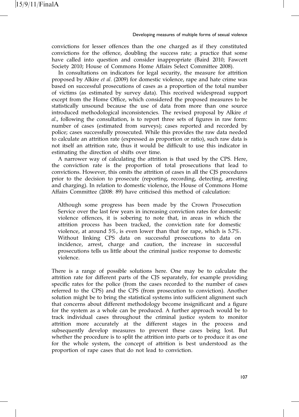convictions for lesser offences than the one charged as if they constituted convictions for the offence, doubling the success rate; a practice that some have called into question and consider inappropriate (Baird 2010; Fawcett Society 2010; House of Commons Home Affairs Select Committee 2008).

In consultations on indicators for legal security, the measure for attrition proposed by Alkire et al. (2009) for domestic violence, rape and hate crime was based on successful prosecutions of cases as a proportion of the total number of victims (as estimated by survey data). This received widespread support except from the Home Office, which considered the proposed measures to be statistically unsound because the use of data from more than one source introduced methodological inconsistencies. The revised proposal by Alkire et al., following the consultation, is to report three sets of figures in raw form: number of cases (estimated from surveys); cases reported and recorded by police; cases successfully prosecuted. While this provides the raw data needed to calculate an attrition rate (expressed as proportion or ratio), such raw data is not itself an attrition rate, thus it would be difficult to use this indicator in estimating the direction of shifts over time.

A narrower way of calculating the attrition is that used by the CPS. Here, the conviction rate is the proportion of total prosecutions that lead to convictions. However, this omits the attrition of cases in all the CJS procedures prior to the decision to prosecute (reporting, recording, detecting, arresting and charging). In relation to domestic violence, the House of Commons Home Affairs Committee (2008: 89) have criticised this method of calculation:

Although some progress has been made by the Crown Prosecution Service over the last few years in increasing conviction rates for domestic violence offences, it is sobering to note that, in areas in which the attrition process has been tracked, the conviction rate for domestic violence, at around 5%, is even lower than that for rape, which is 5.7%. Without linking CPS data on successful prosecutions to data on incidence, arrest, charge and caution, the increase in successful prosecutions tells us little about the criminal justice response to domestic violence.

There is a range of possible solutions here. One may be to calculate the attrition rate for different parts of the CJS separately, for example providing specific rates for the police (from the cases recorded to the number of cases referred to the CPS) and the CPS (from prosecution to conviction). Another solution might be to bring the statistical systems into sufficient alignment such that concerns about different methodology become insignificant and a figure for the system as a whole can be produced. A further approach would be to track individual cases throughout the criminal justice system to monitor attrition more accurately at the different stages in the process and subsequently develop measures to prevent these cases being lost. But whether the procedure is to split the attrition into parts or to produce it as one for the whole system, the concept of attrition is best understood as the proportion of rape cases that do not lead to conviction.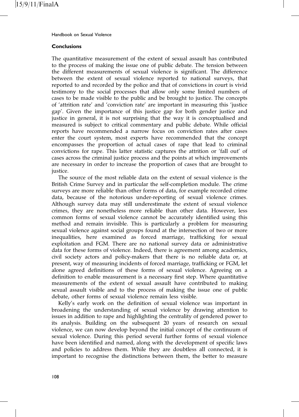## **Conclusions**

The quantitative measurement of the extent of sexual assault has contributed to the process of making the issue one of public debate. The tension between the different measurements of sexual violence is significant. The difference between the extent of sexual violence reported to national surveys, that reported to and recorded by the police and that of convictions in court is vivid testimony to the social processes that allow only some limited numbers of cases to be made visible to the public and be brought to justice. The concepts of 'attrition rate' and 'conviction rate' are important in measuring this 'justice gap'. Given the importance of this justice gap for both gender justice and justice in general, it is not surprising that the way it is conceptualised and measured is subject to critical commentary and public debate. While official reports have recommended a narrow focus on conviction rates after cases enter the court system, most experts have recommended that the concept encompasses the proportion of actual cases of rape that lead to criminal convictions for rape. This latter statistic captures the attrition or 'fall out' of cases across the criminal justice process and the points at which improvements are necessary in order to increase the proportion of cases that are brought to justice.

The source of the most reliable data on the extent of sexual violence is the British Crime Survey and in particular the self-completion module. The crime surveys are more reliable than other forms of data, for example recorded crime data, because of the notorious under-reporting of sexual violence crimes. Although survey data may still underestimate the extent of sexual violence crimes, they are nonetheless more reliable than other data. However, less common forms of sexual violence cannot be accurately identified using this method and remain invisible. This is particularly a problem for measuring sexual violence against social groups found at the intersection of two or more inequalities, here examined as forced marriage, trafficking for sexual exploitation and FGM. There are no national survey data or administrative data for these forms of violence. Indeed, there is agreement among academics, civil society actors and policy-makers that there is no reliable data or, at present, way of measuring incidents of forced marriage, trafficking or FGM, let alone agreed definitions of these forms of sexual violence. Agreeing on a definition to enable measurement is a necessary first step. Where quantitative measurements of the extent of sexual assault have contributed to making sexual assault visible and to the process of making the issue one of public debate, other forms of sexual violence remain less visible.

Kelly's early work on the definition of sexual violence was important in broadening the understanding of sexual violence by drawing attention to issues in addition to rape and highlighting the centrality of gendered power to its analysis. Building on the subsequent 20 years of research on sexual violence, we can now develop beyond the initial concept of the continuum of sexual violence. During this period several further forms of sexual violence have been identified and named, along with the development of specific laws and policies to address them. While they are doubtless all connected, it is important to recognise the distinctions between them, the better to measure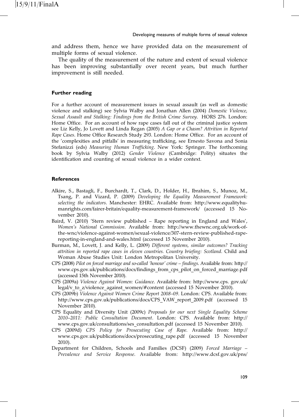and address them, hence we have provided data on the measurement of multiple forms of sexual violence.

The quality of the measurement of the nature and extent of sexual violence has been improving substantially over recent years, but much further improvement is still needed.

#### Further reading

For a further account of measurement issues in sexual assault (as well as domestic violence and stalking) see Sylvia Walby and Jonathan Allen (2004) Domestic Violence, Sexual Assault and Stalking: Findings from the British Crime Survey. HORS 276. London: Home Office. For an account of how rape cases fall out of the criminal justice system see Liz Kelly, Jo Lovett and Linda Regan (2005) A Gap or a Chasm? Attrition in Reported Rape Cases. Home Office Research Study 293. London: Home Office. For an account of the 'complexities and pitfalls' in measuring trafficking, see Ernesto Savona and Sonia Stefanizzi (eds) Measuring Human Trafficking. New York: Springer. The forthcoming book by Sylvia Walby (2012) Gender Violence (Cambridge: Polity) situates the identification and counting of sexual violence in a wider context.

#### References

- Alkire, S., Bastagli, F., Burchardt, T., Clark, D., Holder, H., Ibrahim, S., Munoz, M., Tsang, P. and Vizard, P. (2009) Developing the Equality Measurement Framework: selecting the indicators. Manchester: EHRC. Available from: [http://www.equalityhu](http://www.equalityhumanrights.com/fairer-britain/equality-measurement-framework/)[manrights.com/fairer-britain/equality-measurement-framework/](http://www.equalityhumanrights.com/fairer-britain/equality-measurement-framework/) (accessed 15 November 2010).
- Baird, V. (2010) 'Stern review published Rape reporting in England and Wales', Women's National Commission. Available from: [http://www.thewnc.org.uk/work-of](http://www.thewnc.org.uk/work-ofthe-wnc/violence-against-women/sexual-violence/307-stern-review-published-rapereporting-in-england-and-wales.html)[the-wnc/violence-against-women/sexual-violence/307-stern-review-published-rape](http://www.thewnc.org.uk/work-ofthe-wnc/violence-against-women/sexual-violence/307-stern-review-published-rapereporting-in-england-and-wales.html)[reporting-in-england-and-wales.html](http://www.thewnc.org.uk/work-ofthe-wnc/violence-against-women/sexual-violence/307-stern-review-published-rapereporting-in-england-and-wales.html) (accessed 15 November 2010).
- Burman, M., Lovett, J. and Kelly, L. (2009) Different systems, similar outcomes? Tracking attrition in reported rape cases in eleven countries. Country briefing: Scotland. Child and Woman Abuse Studies Unit: London Metropolitan University.
- CPS (2008) Pilot on forced marriage and so-called 'honour' crime findings. Available from: [http://](http://www.cps.gov.uk/publications/docs/findings_from_cps_pilot_on_forced_marriage.pdf) [www.cps.gov.uk/publications/docs/findings\\_from\\_cps\\_pilot\\_on\\_forced\\_marriage.pdf](http://www.cps.gov.uk/publications/docs/findings_from_cps_pilot_on_forced_marriage.pdf) (accessed 15th November 2010).
- CPS (2009a) Violence Against Women: Guidance. Available from: [http://www.cps. gov.uk/](http://www.cps.ov.uk/legal/v_to_z/violence_against_women/#content) legal/v to z/violence against women/#content (accessed 15 November 2010).
- CPS (2009b) Violence Against Women Crime Report 2008–09. London: CPS. Available from: [http://www.cps.gov.uk/publications/docs/CPS\\_VAW\\_report\\_2009.pdf](http://www.cps.gov.uk/publications/docs/CPS_VAW_report_2009.pdf) (accessed 15 November 2010).
- CPS Equality and Diversity Unit (2009c) Proposals for our next Single Equality Scheme 2010–2011: Public Consultation Document. London: CPS. Available from: [http://](http://www.cps.gov.uk/consultations/ses_consultation.pdf) [www.cps.gov.uk/consultations/ses\\_consultation.pdf](http://www.cps.gov.uk/consultations/ses_consultation.pdf) (accessed 15 November 2010).
- CPS (2009d) CPS Policy for Prosecuting Case of Rape. Available from: [http://](http://www.cps.gov.uk/publications/docs/prosecuting_rape.pdf) [www.cps.gov.uk/publications/docs/prosecuting\\_rape.pdf](http://www.cps.gov.uk/publications/docs/prosecuting_rape.pdf) (accessed 15 November 2010).
- Department for Children, Schools and Families (DCSF) (2009) Forced Marriage Prevalence and Service Response. Available from: [http://www.dcsf.gov.uk/pns/](http://www.dcsf.gov.uk/pns/DisplayPN.cgi%3Fpn_id%3D2009_0123)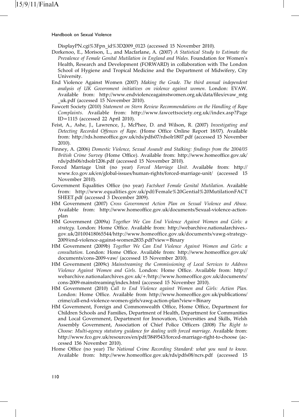[DisplayPN.cgi%3Fpn\\_id%3D2009\\_0123](http://www.dcsf.gov.uk/pns/DisplayPN.cgi%3Fpn_id%3D2009_0123) (accessed 15 November 2010).

- Dorkenoo, E., Morison, L., and Macfarlane, A. (2007) A Statistical Study to Estimate the Prevalence of Female Genital Mutilation in England and Wales. Foundation for Women's Health, Research and Development (FORWARD) in collaboration with The London School of Hygiene and Tropical Medicine and the Department of Midwifery, City University.
- End Violence Against Women (2007) Making the Grade. The third annual independent analysis of UK Government initiatives on violence against women. London: EVAW. Available from: [http://www.endviolenceagainstwomen.org.uk/data/files/evaw\\_mtg](http://www.endviolenceagainstwomen.org.uk/data/files/evaw_mtg_uk.pdf) [\\_uk.pdf](http://www.endviolenceagainstwomen.org.uk/data/files/evaw_mtg_uk.pdf) (accessed 15 November 2010).
- Fawcett Society (2010) Statement on Stern Review Recommendations on the Handling of Rape Complaints. Available from: [http://www.fawcettsociety.org.uk//index.asp?Page](http://www.fawcettsociety.org.uk//index.asp?PageID=1115) [ID=1115](http://www.fawcettsociety.org.uk//index.asp?PageID=1115) (accessed 22 April 2010).
- Feist, A., Ashe, J., Lawrence, J., McPhee, D. and Wilson, R. (2007) Investigating and Detecting Recorded Offences of Rape. (Home Office Online Report 18/07). Available from:<http://rds.homeoffice.gov.uk/rds/pdfs07/rdsolr1807.pdf> (accessed 15 November 2010).
- Finney, A. (2006) Domestic Violence, Sexual Assault and Stalking: findings from the 2004/05 British Crime Survey (Home Office). Available from: [http://www.homeoffice.gov.uk/](http://www.homeoffice.gov.uk/rds/pdfs06/rdsolr1206.pdf) [rds/pdfs06/rdsolr1206.pdf](http://www.homeoffice.gov.uk/rds/pdfs06/rdsolr1206.pdf) (accessed 15 November 2010).
- Forced Marriage Unit (no year) Forced Marriage Unit. Available from: [http://](http://www.fco.gov.uk/en/global-issues/human-rights/forced-marriage-unit/) [www.fco.gov.uk/en/global-issues/human-rights/forced-marriage-unit/](http://www.fco.gov.uk/en/global-issues/human-rights/forced-marriage-unit/) (accessed 15 November 2010).
- Government Equalities Office (no year) Factsheet Female Genital Mutilation. Available from: [http://www.equalities.gov.uk/pdf/Female%20Gential%20MutilationFACT](http://www.equalities.gov.uk/pdf/Female%20Gential%20MutilationFACTSHEET.pdf) [SHEET.pdf](http://www.equalities.gov.uk/pdf/Female%20Gential%20MutilationFACTSHEET.pdf) (accessed 3 December 2009).
- HM Government (2007) Cross Government Action Plan on Sexual Violence and Abuse. Available from: [http://www.homeoffice.gov.uk/documents/Sexual-violence-action](http://www.homeoffice.gov.uk/documents/Sexual-violence-actionplan)[plan](http://www.homeoffice.gov.uk/documents/Sexual-violence-actionplan)
- HM Government (2009a) Together We Can End Violence Against Women and Girls: a strategy. London: Home Office. Available from: [http://webarchive.nationalarchives.](http://webarchive.nationalarchives.-gov.uk/20100418065544/http://www.homeoffice.gov.uk/documents/vawg-strategy-2009/end-violence-against-women2835.pdf?view=Binary) [gov.uk/20100418065544/http://www.homeoffice.gov.uk/documents/vawg-strategy-](http://webarchive.nationalarchives.-gov.uk/20100418065544/http://www.homeoffice.gov.uk/documents/vawg-strategy-2009/end-violence-against-women2835.pdf?view=Binary)[2009/end-violence-against-women2835.pdf?view=Binary](http://webarchive.nationalarchives.-gov.uk/20100418065544/http://www.homeoffice.gov.uk/documents/vawg-strategy-2009/end-violence-against-women2835.pdf?view=Binary)
- HM Government (2009b) Together We Can End Violence Against Women and Girls: a consultation. London: Home Office. Available from: [http://www.homeoffice.gov.uk/](http://www.homeoffice.gov.uk/documents/cons-2009-vaw/) [documents/cons-2009-vaw/ \(](http://www.homeoffice.gov.uk/documents/cons-2009-vaw/)accessed 15 November 2010).
- HM Government (2009c) Mainstreaming the Commissioning of Local Services to Address Violence Against Women and Girls. London: Home Office. Available from: [http://](http://webarchive.nationalarchives.gov.uk/+/http://www.homeoffice.gov.uk/documents/cons-2009-mainstreaming/index.html) [webarchive.nationalarchives.gov.uk/+/http://www.homeoffice.gov.uk/documents/](http://webarchive.nationalarchives.gov.uk/+/http://www.homeoffice.gov.uk/documents/cons-2009-mainstreaming/index.html) [cons-2009-mainstreaming/index.html](http://webarchive.nationalarchives.gov.uk/+/http://www.homeoffice.gov.uk/documents/cons-2009-mainstreaming/index.html) (accessed 15 November 2010).
- HM Government (2010) Call to End Violence against Women and Girls: Action Plan. London: Home Office. Available from [http://www.homeoffice.gov.uk/publications/](http://www.homeoffice.gov.uk/publications/crime/call-end-violence-women-girls/vawg-action-plan?view=Binary) [crime/call-end-violence-women-girls/vawg-action-plan?view=Binary](http://www.homeoffice.gov.uk/publications/crime/call-end-violence-women-girls/vawg-action-plan?view=Binary)
- HM Government, Foreign and Commonwealth Office, Home Office, Department for Children Schools and Families, Department of Health, Department for Communities and Local Government, Department for Innovation, Universities and Skills, Welsh Assembly Government, Association of Chief Police Officers (2008) The Right to Choose: Multi-agency statutory guidance for dealing with forced marriage. Available from: <http://www.fco.gov.uk/resources/en/pdf/3849543/forced-marriage-right-to-choose> (accessed 156 November 2010).
- Home Office (no year) The National Crime Recording Standard: what you need to know. Available from:<http://www.homeoffice.gov.uk/rds/pdfs08/ncrs.pdf> (accessed 15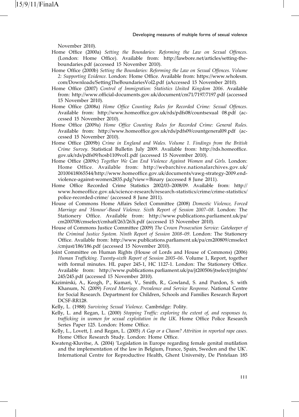November 2010).

- Home Office (2000a) Setting the Boundaries: Reforming the Law on Sexual Offences. (London: Home Office). Available from: [http://lawbore.net/articles/setting-the](http://lawbore.net/articles/setting-theboundaries.pdf)[boundaries.pdf](http://lawbore.net/articles/setting-theboundaries.pdf) (accessed 15 November 2010).
- Home Office (2000b) Setting the Boundaries: Reforming the Law on Sexual Offences. Volume 2: Supporting Evidence. London: Home Office. Available from: [https://www.wholesm.](https://www.wholesm.com/Downloads/SettingTheBoundariesVol2.pdf) [com/Downloads/SettingTheBoundariesVol2.pdf](https://www.wholesm.com/Downloads/SettingTheBoundariesVol2.pdf) (aAccessed 15 November 2010).
- Home Office (2007) Control of Immigration: Statistics United Kingdom 2006. Available from:<http://www.official-documents.gov.uk/document/cm71/7197/7197.pdf> (accessed 15 November 2010).
- Home Office (2008a) Home Office Counting Rules for Recorded Crime: Sexual Offences. Available from: [http://www.homeoffice.gov.uk/rds/pdfs08/countsexual 08.pdf](http://www.homeoffice.gov.uk/rds/pdfs08/countsexual08.pdf) (accessed 15 November 2010).
- Home Office (2009a) Home Office Counting Rules for Recorded Crime: General Rules. Available from:<http://www.homeoffice.gov.uk/rds/pdfs09/countgeneral09.pdf> (accessed 15 November 2010).
- Home Office (2009b) Crime in England and Wales. Volume 1. Findings from the British Crime Survey. Statistical Bulletin July 2009. Available from: [http://rds.homeoffice.](http://rds.homeoffice.gov.uk/rds/pdfs09/hosb1109vol1.pdf) [gov.uk/rds/pdfs09/hosb1109vol1.pdf](http://rds.homeoffice.gov.uk/rds/pdfs09/hosb1109vol1.pdf) (accessed 15 November 2010).
- Home Office (2009c) Together We Can End Violence Against Women and Girls. London: Home Office. Available from: [http://webarchive.nationalarchives.gov.uk/](http://webarchive.nationalarchives.gov.uk/20100418065544/http://www.homeoffice.gov.uk/documents/vawg-strategy-2009.endviolence-against-women2835.pdg?view=Binary) [20100418065544/http://www.homeoffice.gov.uk/documents/vawg-strategy-2009.end](http://webarchive.nationalarchives.gov.uk/20100418065544/http://www.homeoffice.gov.uk/documents/vawg-strategy-2009.endviolence-against-women2835.pdg?view=Binary)[violence-against-women2835.pdg?view=Binary](http://webarchive.nationalarchives.gov.uk/20100418065544/http://www.homeoffice.gov.uk/documents/vawg-strategy-2009.endviolence-against-women2835.pdg?view=Binary) (accessed 8 June 2011).
- Home Office Recorded Crime Statistics 2002/03–2008/09. Available from: [http://](http://www.homeoffice.gov.uk/science-research/research-statistics/crime/crime-statistics/police-recorded-crime/) [www.homeoffice.gov.uk/science-research/research-statistics/crime/crime-statistics/](http://www.homeoffice.gov.uk/science-research/research-statistics/crime/crime-statistics/police-recorded-crime/) [police-recorded-crime/](http://www.homeoffice.gov.uk/science-research/research-statistics/crime/crime-statistics/police-recorded-crime/) (accessed 8 June 2011).
- House of Commons Home Affairs Select Committee (2008) Domestic Violence, Forced Marriage and 'Honour'-Based Violence. Sixth Report of Session 2007–08. London: The Stationery Office. Available from: [http://www.publications.parliament.uk/pa/](http://www.publications.parliament.uk/pa/cm200708/cmselect/cmhaff/263/263i.pdf) [cm200708/cmselect/cmhaff/263/263i.pdf](http://www.publications.parliament.uk/pa/cm200708/cmselect/cmhaff/263/263i.pdf) (accessed 15 November 2010).
- House of Commons Justice Committee (2009) The Crown Prosecution Service: Gatekeeper of the Criminal Justice System. Ninth Report of Session 2008–09. London: The Stationery Office. Available from: [http://www.publications.parliament.uk/pa/cm200809/cmselect](http://www.publications.parliament.uk/pa/cm200809/cmselect/cmjust/186/186.pdf) [/cmjust/186/186.pdf](http://www.publications.parliament.uk/pa/cm200809/cmselect/cmjust/186/186.pdf) (accessed 15 November 2010).
- Joint Committee on Human Rights (House of Lords and House of Commons) (2006) Human Trafficking. Twenty-sixth Report of Session 2005–06. Volume 1, Report, together with formal minutes. HL paper 245-1, HC 1127-1. London: The Stationery Office. Available from: [http://www.publications.parliament.uk/pa/jt200506/jtselect/jtrights/](http://www.publications.parliament.uk/pa/jt200506/jtselect/jtrights/245/245.pdf) [245/245.pdf](http://www.publications.parliament.uk/pa/jt200506/jtselect/jtrights/245/245.pdf) (accessed 15 November 2010).
- Kazimirski, A., Keogh, P., Kumari, V., Smith, R., Gowland, S. and Purdon, S. with Khanum, N. (2009) Forced Marriage. Prevalence and Service Response. National Centre for Social Research. Department for Children, Schools and Families Research Report DCSF-RR128.
- Kelly, L. (1988) Surviving Sexual Violence. Cambridge: Polity.
- Kelly, L. and Regan, L. (2000) Stopping Traffic: exploring the extent of, and responses to, trafficking in women for sexual exploitation in the UK. Home Office Police Research Series Paper 125. London: Home Office.
- Kelly, L., Lovett, J. and Regan, L. (2005) A Gap or a Chasm? Attrition in reported rape cases. Home Office Research Study. London: Home Office.
- Kwateng-Kluvitse, A. (2004) 'Legislation in Europe regarding female genital mutilation and the implementation of the law in Belgium, France, Spain, Sweden and the UK'. International Centre for Reproductive Health, Ghent University, De Pintelaan 185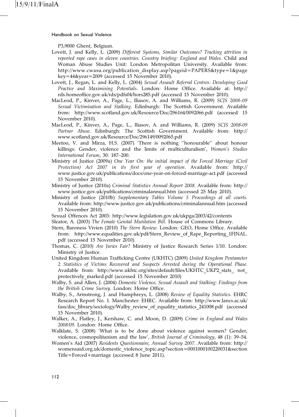P3,9000 Ghent, Belgium.

- Lovett, J. and Kelly, L. (2009) Different Systems, Similar Outcomes? Tracking attrition in reported rape cases in eleven countries. Country briefing: England and Wales. Child and Woman Abuse Studies Unit: London Metropolitan University. Available from: [http://www.cwasu.org/publication\\_display.asp?pageid=PAPERS&type=1&page](http://www.cwasu.org/publication_display.asp?pageid=PAPERS&type=1&pagekey=44&year=2009) [key=44&year=2009](http://www.cwasu.org/publication_display.asp?pageid=PAPERS&type=1&pagekey=44&year=2009) (accessed 15 November 2010).
- Lovett, J., Regan, L. and Kelly, L. (2004) Sexual Assault Referral Centres: Developing Good Practice and Maximising Potentials. London: Home Office. Available at: [http://](http://rds.homeoffice.gov.uk/rds/pdfs04/hors285.pdf) [rds.homeoffice.gov.uk/rds/pdfs04/hors285.pdf](http://rds.homeoffice.gov.uk/rds/pdfs04/hors285.pdf) (accessed 15 November 2010).
- MacLeod, P., Kinver, A., Page, L., Iliasov, A. and Williams, R. (2009) SCJS 2008–09 Sexual Victimisation and Stalking. Edinburgh: The Scottish Government. Available from:<http://www.scotland.gov.uk/Resource/Doc/296164/0092066.pdf> (accessed 15 November 2010).
- MacLeod, P., Kinver, A., Page, L., Iliasov, A. and Williams, R. (2009) SCJS 2008-09 Partner Abuse. Edinburgh: The Scottish Government. Available from: [http://](http://www.scotland.gov.uk/Resource/Doc/296149/0092065.pdf) [www.scotland.gov.uk/Resource/Doc/296149/0092065.pdf](http://www.scotland.gov.uk/Resource/Doc/296149/0092065.pdf)
- Meetoo, V. and Mirza, H.S. (2007) 'There is nothing ''honourable'' about honour killings: Gender, violence and the limits of multiculturalism', Women's Studies International Forum, 30: 187–200.
- Ministry of Justice (2009a) One Year On: the initial impact of the Forced Marriage (Civil Protection) Act 2007 in its first year of operation. Available from: [http://](http://www.justice.gov.uk/publications/docs/one-year-on-forced-marriage-act.pdf) [www.justice.gov.uk/publications/docs/one-year-on-forced-marriage-act.pdf](http://www.justice.gov.uk/publications/docs/one-year-on-forced-marriage-act.pdf) (accessed 15 November 2010).
- Ministry of Justice (2010a) Criminal Statistics Annual Report 2008. Available from: [http://](http://www.justice.gov.uk/publications/criminalannual.htm) [www.justice.gov.uk/publications/criminalannual.htm](http://www.justice.gov.uk/publications/criminalannual.htm) (accessed 25 May 2010).
- Ministry of Justice (2010b) Supplementary Tables Volume 5 Proceedings at all courts. Available from:<http://www.justice.gov.uk/publications/criminalannual.htm> (accessed 15 November 2010).
- Sexual Offences Act 2003:<http://www.legislation.gov.uk/ukpga/2003/42/contents>
- Sleator, A. (2003) The Female Genital Mutilation Bill. House of Commons Library.
- Stern, Baroness Vivien (2010) The Stern Review. London: GEO, Home Office. Available from: [http://www.equalities.gov.uk/pdf/Stern\\_Review\\_of\\_Rape\\_Reporting\\_1FINAL.](http://www.equalities.gov.uk/pdf/Stern_Review_of_Rape_Reporting_1FINAL.pdf) [pdf](http://www.equalities.gov.uk/pdf/Stern_Review_of_Rape_Reporting_1FINAL.pdf) (accessed 15 November 2010).
- Thomas, C. (2010) Are Juries Fair? Ministry of Justice Research Series 1/10. London: Ministry of Justice.
- United Kingdom Human Trafficking Centre (UKHTC) (2009) United Kingdom Pentameter 2 Statistics of Victims Recovered and Suspects Arrested during the Operational Phase. Available from: http://www.ukhtc.org/sites/default/files/UKHTC\_UKP2\_stats\_ not [protectively\\_marked.pdf](http://www.ukhtc.org/sites/default/files/UKHTC_UKP2_stats_not_protectively_marked.pdf) (accessed 15 November 2010)
- Walby, S. and Allen, J. (2004) Domestic Violence, Sexual Assault and Stalking: Findings from the British Crime Survey. London: Home Office.
- Walby, S., Armstrong, J. and Humphreys, L. (2008) Review of Equality Statistics. EHRC Research Report No. 1. Manchester: EHRC. Available from: [http://www.lancs.ac.uk/](http://www.lancs.ac.uk/fass/doc_library/sociology/Walby_review_of_equality_statistics_241008.pdf) [fass/doc\\_library/sociology/Walby\\_review\\_of\\_equality\\_statistics\\_241008.pdf](http://www.lancs.ac.uk/fass/doc_library/sociology/Walby_review_of_equality_statistics_241008.pdf) (accessed 15 November 2010).
- Walker, A., Flatley, J., Kershaw, C. and Moon, D. (2009) Crime in England and Wales 2008/09. London: Home Office.
- Walklate, S. (2008) 'What is to be done about violence against women? Gender, violence, cosmopolitanism and the law', British Journal of Criminology, 48 (1): 39–54.
- Women's Aid (2007) Residents Questionnaire, Annual Survey 2007. Available from: [http://](http://womensaid.org.uk/domestic_violence_topic.asp?section=0001000100220031§ionTitle=Forced+marriage) [womensaid.org.uk/domestic\\_violence\\_topic.asp?section=0001000100220031&section](http://womensaid.org.uk/domestic_violence_topic.asp?section=0001000100220031§ionTitle=Forced+marriage) [Title=Forced+marriage](http://womensaid.org.uk/domestic_violence_topic.asp?section=0001000100220031§ionTitle=Forced+marriage) (accessed 8 June 2011).